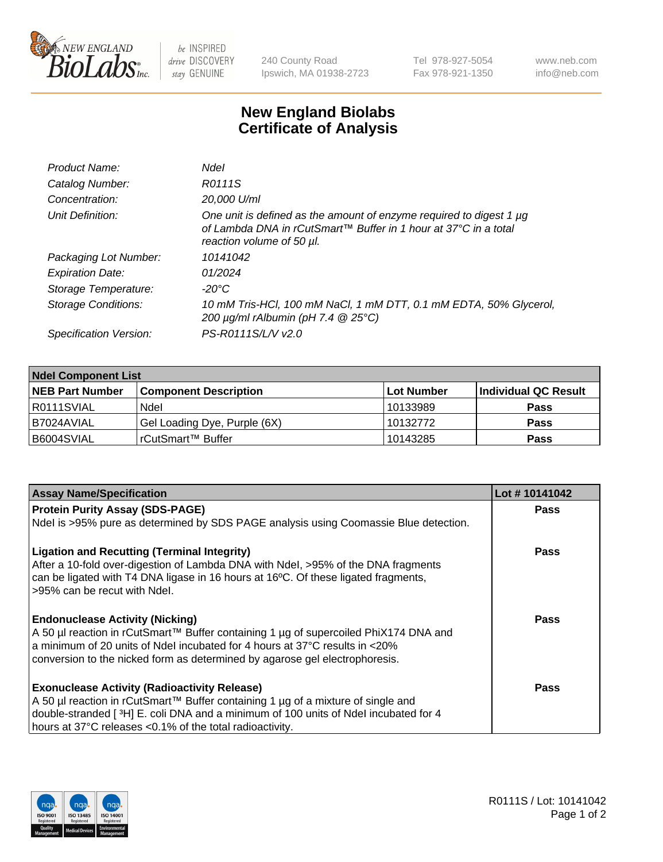

 $be$  INSPIRED drive DISCOVERY stay GENUINE

240 County Road Ipswich, MA 01938-2723 Tel 978-927-5054 Fax 978-921-1350 www.neb.com info@neb.com

## **New England Biolabs Certificate of Analysis**

| Product Name:              | Ndel                                                                                                                                                                |
|----------------------------|---------------------------------------------------------------------------------------------------------------------------------------------------------------------|
| Catalog Number:            | R0111S                                                                                                                                                              |
| Concentration:             | 20,000 U/ml                                                                                                                                                         |
| Unit Definition:           | One unit is defined as the amount of enzyme required to digest 1 µg<br>of Lambda DNA in rCutSmart™ Buffer in 1 hour at 37°C in a total<br>reaction volume of 50 µl. |
| Packaging Lot Number:      | 10141042                                                                                                                                                            |
| <b>Expiration Date:</b>    | 01/2024                                                                                                                                                             |
| Storage Temperature:       | $-20^{\circ}$ C                                                                                                                                                     |
| <b>Storage Conditions:</b> | 10 mM Tris-HCl, 100 mM NaCl, 1 mM DTT, 0.1 mM EDTA, 50% Glycerol,<br>200 $\mu$ g/ml rAlbumin (pH 7.4 $@$ 25°C)                                                      |
| Specification Version:     | PS-R0111S/L/V v2.0                                                                                                                                                  |
|                            |                                                                                                                                                                     |

| <b>Ndel Component List</b> |                              |            |                      |  |  |
|----------------------------|------------------------------|------------|----------------------|--|--|
| <b>NEB Part Number</b>     | <b>Component Description</b> | Lot Number | Individual QC Result |  |  |
| R0111SVIAL                 | Ndel                         | 10133989   | <b>Pass</b>          |  |  |
| B7024AVIAL                 | Gel Loading Dye, Purple (6X) | 10132772   | <b>Pass</b>          |  |  |
| B6004SVIAL                 | rCutSmart™ Buffer            | 10143285   | <b>Pass</b>          |  |  |

| <b>Assay Name/Specification</b>                                                                                                                                                                                                                                                                              | Lot #10141042 |
|--------------------------------------------------------------------------------------------------------------------------------------------------------------------------------------------------------------------------------------------------------------------------------------------------------------|---------------|
| <b>Protein Purity Assay (SDS-PAGE)</b>                                                                                                                                                                                                                                                                       | <b>Pass</b>   |
| Ndel is >95% pure as determined by SDS PAGE analysis using Coomassie Blue detection.                                                                                                                                                                                                                         |               |
| <b>Ligation and Recutting (Terminal Integrity)</b><br>After a 10-fold over-digestion of Lambda DNA with Ndel, >95% of the DNA fragments<br>can be ligated with T4 DNA ligase in 16 hours at 16°C. Of these ligated fragments,<br>>95% can be recut with Ndel.                                                | <b>Pass</b>   |
| <b>Endonuclease Activity (Nicking)</b><br>A 50 µl reaction in rCutSmart™ Buffer containing 1 µg of supercoiled PhiX174 DNA and<br>a minimum of 20 units of Ndel incubated for 4 hours at $37^{\circ}$ C results in $\lt 20\%$<br>conversion to the nicked form as determined by agarose gel electrophoresis. | Pass          |
| <b>Exonuclease Activity (Radioactivity Release)</b><br>A 50 µl reaction in rCutSmart™ Buffer containing 1 µg of a mixture of single and<br>double-stranded [3H] E. coli DNA and a minimum of 100 units of Ndel incubated for 4<br>hours at 37°C releases <0.1% of the total radioactivity.                   | Pass          |